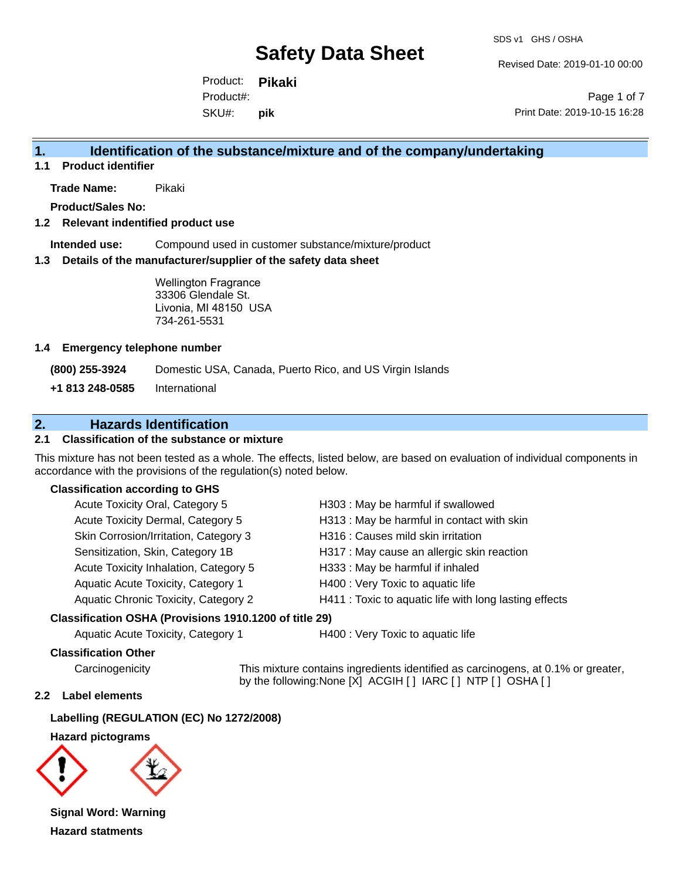SDS v1 GHS / OSHA

Revised Date: 2019-01-10 00:00

Product: **Pikaki** SKU#: Product#: **pik**

Page 1 of 7 Print Date: 2019-10-15 16:28

## **1. Identification of the substance/mixture and of the company/undertaking**

**1.1 Product identifier**

**Trade Name:** Pikaki

**Product/Sales No:**

#### **1.2 Relevant indentified product use**

**Intended use:** Compound used in customer substance/mixture/product

#### **1.3 Details of the manufacturer/supplier of the safety data sheet**

Wellington Fragrance 33306 Glendale St. Livonia, MI 48150 USA 734-261-5531

#### **1.4 Emergency telephone number**

**(800) 255-3924** Domestic USA, Canada, Puerto Rico, and US Virgin Islands

**+1 813 248-0585** International

## **2. Hazards Identification**

#### **2.1 Classification of the substance or mixture**

This mixture has not been tested as a whole. The effects, listed below, are based on evaluation of individual components in accordance with the provisions of the regulation(s) noted below.

#### **Classification according to GHS**

| Acute Toxicity Oral, Category 5       | H303: May be harmful if swallowed                      |
|---------------------------------------|--------------------------------------------------------|
| Acute Toxicity Dermal, Category 5     | H313: May be harmful in contact with skin              |
| Skin Corrosion/Irritation, Category 3 | H316 : Causes mild skin irritation                     |
| Sensitization, Skin, Category 1B      | H317 : May cause an allergic skin reaction             |
| Acute Toxicity Inhalation, Category 5 | H333: May be harmful if inhaled                        |
| Aquatic Acute Toxicity, Category 1    | H400 : Very Toxic to aquatic life                      |
| Aquatic Chronic Toxicity, Category 2  | H411 : Toxic to aquatic life with long lasting effects |
|                                       |                                                        |

#### **Classification OSHA (Provisions 1910.1200 of title 29)**

Aquatic Acute Toxicity, Category 1 **H400** : Very Toxic to aquatic life

#### **Classification Other**

Carcinogenicity This mixture contains ingredients identified as carcinogens, at 0.1% or greater, by the following:None [X] ACGIH [ ] IARC [ ] NTP [ ] OSHA [ ]

#### **2.2 Label elements**

**Labelling (REGULATION (EC) No 1272/2008)**

**Hazard pictograms**



**Signal Word: Warning Hazard statments**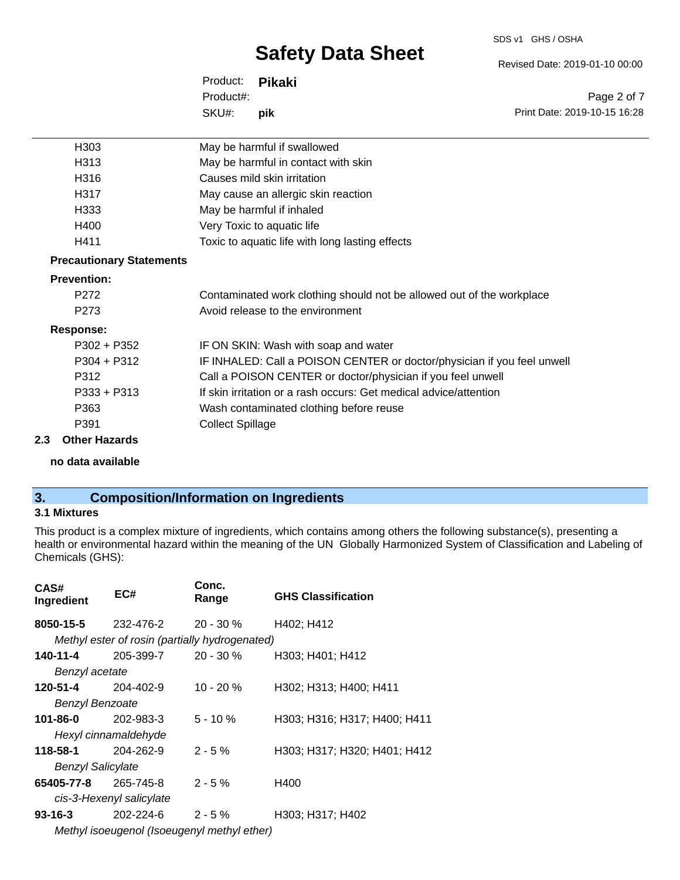#### SDS v1 GHS / OSHA

# **Safety Data Sheet**

Revised Date: 2019-01-10 00:00

Print Date: 2019-10-15 16:28

Page 2 of 7

Product: **Pikaki** SKU#: Product#: **pik**

| H <sub>303</sub>                | May be harmful if swallowed                                             |
|---------------------------------|-------------------------------------------------------------------------|
| H313                            | May be harmful in contact with skin                                     |
| H316                            | Causes mild skin irritation                                             |
| H317                            | May cause an allergic skin reaction                                     |
| H333                            | May be harmful if inhaled                                               |
| H400                            | Very Toxic to aquatic life                                              |
| H411                            | Toxic to aquatic life with long lasting effects                         |
| <b>Precautionary Statements</b> |                                                                         |
| <b>Prevention:</b>              |                                                                         |
| P <sub>272</sub>                | Contaminated work clothing should not be allowed out of the workplace   |
| P <sub>273</sub>                | Avoid release to the environment                                        |
| <b>Response:</b>                |                                                                         |
| $P302 + P352$                   | IF ON SKIN: Wash with soap and water                                    |
| $P304 + P312$                   | IF INHALED: Call a POISON CENTER or doctor/physician if you feel unwell |
| P312                            | Call a POISON CENTER or doctor/physician if you feel unwell             |
| $P333 + P313$                   | If skin irritation or a rash occurs: Get medical advice/attention       |
| P363                            | Wash contaminated clothing before reuse                                 |
| P391                            | <b>Collect Spillage</b>                                                 |
| 2.3<br><b>Other Hazards</b>     |                                                                         |

**no data available**

# **3. Composition/Information on Ingredients**

#### **3.1 Mixtures**

This product is a complex mixture of ingredients, which contains among others the following substance(s), presenting a health or environmental hazard within the meaning of the UN Globally Harmonized System of Classification and Labeling of Chemicals (GHS):

| CAS#<br>Ingredient          | EC#                                            | Conc.<br>Range | <b>GHS Classification</b>    |
|-----------------------------|------------------------------------------------|----------------|------------------------------|
| 8050-15-5                   | 232-476-2                                      | $20 - 30 \%$   | H402; H412                   |
|                             | Methyl ester of rosin (partially hydrogenated) |                |                              |
| 140-11-4                    | 205-399-7                                      | 20 - 30 %      | H303; H401; H412             |
| Benzyl acetate              |                                                |                |                              |
| 120-51-4 204-402-9          |                                                | $10 - 20 \%$   | H302; H313; H400; H411       |
| <b>Benzyl Benzoate</b>      |                                                |                |                              |
| 101-86-0                    | 202-983-3                                      | $5 - 10 \%$    | H303; H316; H317; H400; H411 |
|                             | Hexyl cinnamaldehyde                           |                |                              |
| 118-58-1                    | 204-262-9                                      | $2 - 5%$       | H303; H317; H320; H401; H412 |
| <b>Benzyl Salicylate</b>    |                                                |                |                              |
| <b>65405-77-8</b> 265-745-8 |                                                | $2 - 5 \%$     | H400                         |
|                             | cis-3-Hexenyl salicylate                       |                |                              |
| 93-16-3                     | 202-224-6                                      | $2 - 5%$       | H303; H317; H402             |
| .                           |                                                |                |                              |

*Methyl isoeugenol (Isoeugenyl methyl ether)*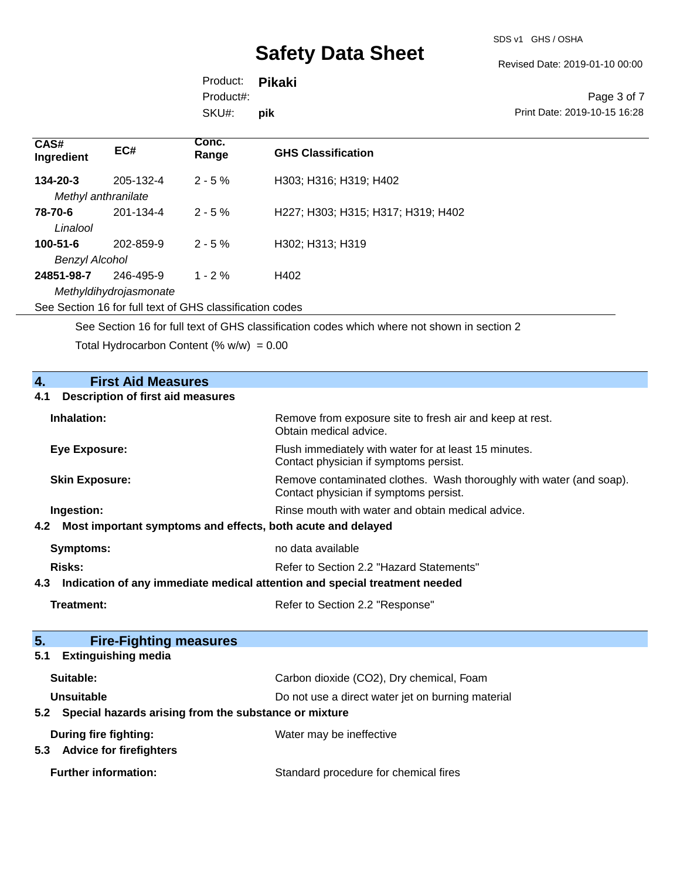SDS v1 GHS / OSHA

Revised Date: 2019-01-10 00:00

Product: **Pikaki** SKU#: Product#: **pik**

Page 3 of 7 Print Date: 2019-10-15 16:28

| CAS#<br>Ingredient                      | EC#                                 | Conc.<br>Range | <b>GHS Classification</b>          |
|-----------------------------------------|-------------------------------------|----------------|------------------------------------|
| $134 - 20 - 3$<br>Methyl anthranilate   | 205-132-4                           | $2 - 5%$       | H303; H316; H319; H402             |
| 78-70-6<br>Linalool                     | 201-134-4                           | $2 - 5 \%$     | H227; H303; H315; H317; H319; H402 |
| $100 - 51 - 6$<br><b>Benzyl Alcohol</b> | 202-859-9                           | $2 - 5%$       | H302; H313; H319                   |
| 24851-98-7                              | 246-495-9<br>Methyldihydrojasmonate | $1 - 2\%$      | H402                               |

See Section 16 for full text of GHS classification codes

See Section 16 for full text of GHS classification codes which where not shown in section 2

Total Hydrocarbon Content (%  $w/w$ ) = 0.00

| $\overline{4}$ .<br><b>First Aid Measures</b>                                     |                                                                                                               |  |
|-----------------------------------------------------------------------------------|---------------------------------------------------------------------------------------------------------------|--|
| <b>Description of first aid measures</b><br>4.1                                   |                                                                                                               |  |
| Inhalation:                                                                       | Remove from exposure site to fresh air and keep at rest.<br>Obtain medical advice.                            |  |
| <b>Eye Exposure:</b>                                                              | Flush immediately with water for at least 15 minutes.<br>Contact physician if symptoms persist.               |  |
| <b>Skin Exposure:</b>                                                             | Remove contaminated clothes. Wash thoroughly with water (and soap).<br>Contact physician if symptoms persist. |  |
| Ingestion:                                                                        | Rinse mouth with water and obtain medical advice.                                                             |  |
| 4.2<br>Most important symptoms and effects, both acute and delayed                |                                                                                                               |  |
| <b>Symptoms:</b>                                                                  | no data available                                                                                             |  |
| Risks:                                                                            | Refer to Section 2.2 "Hazard Statements"                                                                      |  |
| Indication of any immediate medical attention and special treatment needed<br>4.3 |                                                                                                               |  |
| <b>Treatment:</b>                                                                 | Refer to Section 2.2 "Response"                                                                               |  |
|                                                                                   |                                                                                                               |  |
| 5.<br><b>Fire-Fighting measures</b>                                               |                                                                                                               |  |
| <b>Extinguishing media</b><br>5.1                                                 |                                                                                                               |  |
| Suitable:                                                                         | Carbon dioxide (CO2), Dry chemical, Foam                                                                      |  |
| <b>Unsuitable</b>                                                                 | Do not use a direct water jet on burning material                                                             |  |
| Special hazards arising from the substance or mixture<br>5.2                      |                                                                                                               |  |
| During fire fighting:<br>5.3 Advice for firefighters                              | Water may be ineffective                                                                                      |  |
| <b>Further information:</b>                                                       | Standard procedure for chemical fires                                                                         |  |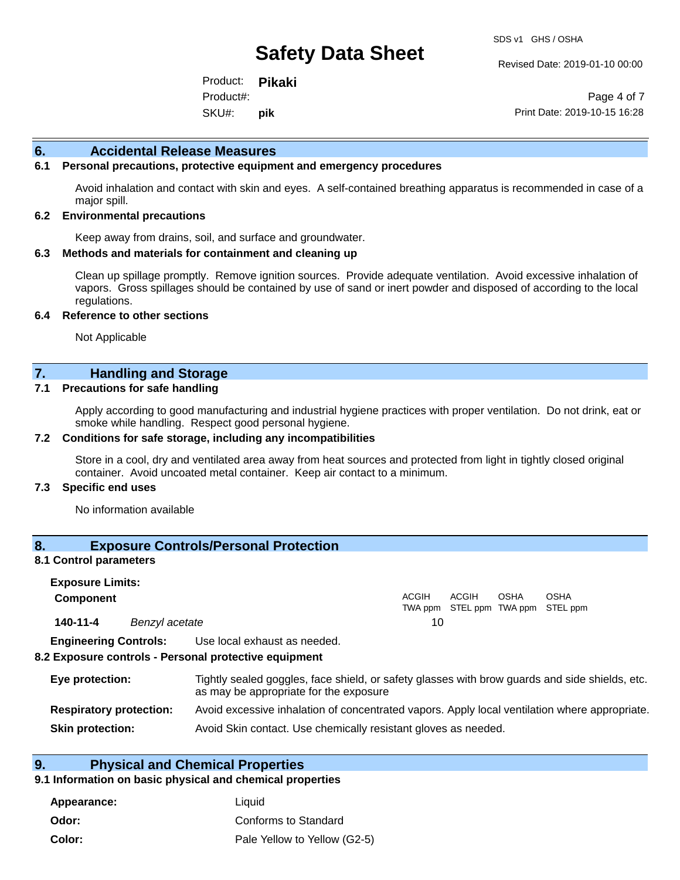Revised Date: 2019-01-10 00:00

Product: **Pikaki** SKU#: Product#: **pik**

Page 4 of 7 Print Date: 2019-10-15 16:28

#### **6. Accidental Release Measures**

#### **6.1 Personal precautions, protective equipment and emergency procedures**

Avoid inhalation and contact with skin and eyes. A self-contained breathing apparatus is recommended in case of a major spill.

#### **6.2 Environmental precautions**

Keep away from drains, soil, and surface and groundwater.

#### **6.3 Methods and materials for containment and cleaning up**

Clean up spillage promptly. Remove ignition sources. Provide adequate ventilation. Avoid excessive inhalation of vapors. Gross spillages should be contained by use of sand or inert powder and disposed of according to the local regulations.

#### **6.4 Reference to other sections**

Not Applicable

### **7. Handling and Storage**

#### **7.1 Precautions for safe handling**

Apply according to good manufacturing and industrial hygiene practices with proper ventilation. Do not drink, eat or smoke while handling. Respect good personal hygiene.

#### **7.2 Conditions for safe storage, including any incompatibilities**

Store in a cool, dry and ventilated area away from heat sources and protected from light in tightly closed original container. Avoid uncoated metal container. Keep air contact to a minimum.

#### **7.3 Specific end uses**

No information available

### **8. Exposure Controls/Personal Protection**

#### **8.1 Control parameters**

| <b>Exposure Limits:</b><br><b>Component</b> |                |                                                                                                                                          | <b>ACGIH</b> | ACGIH | OSHA | <b>OSHA</b>               |
|---------------------------------------------|----------------|------------------------------------------------------------------------------------------------------------------------------------------|--------------|-------|------|---------------------------|
|                                             |                |                                                                                                                                          | TWA ppm      |       |      | STEL ppm TWA ppm STEL ppm |
| 140-11-4                                    | Benzyl acetate |                                                                                                                                          | 10           |       |      |                           |
| <b>Engineering Controls:</b>                |                | Use local exhaust as needed.                                                                                                             |              |       |      |                           |
|                                             |                | 8.2 Exposure controls - Personal protective equipment                                                                                    |              |       |      |                           |
| Eye protection:                             |                | Tightly sealed goggles, face shield, or safety glasses with brow guards and side shields, etc.<br>as may be appropriate for the exposure |              |       |      |                           |
| <b>Respiratory protection:</b>              |                | Avoid excessive inhalation of concentrated vapors. Apply local ventilation where appropriate.                                            |              |       |      |                           |

**Skin protection:** Avoid Skin contact. Use chemically resistant gloves as needed.

## **9. Physical and Chemical Properties**

#### **9.1 Information on basic physical and chemical properties**

| Appearance: | Liauid                       |
|-------------|------------------------------|
| Odor:       | Conforms to Standard         |
| Color:      | Pale Yellow to Yellow (G2-5) |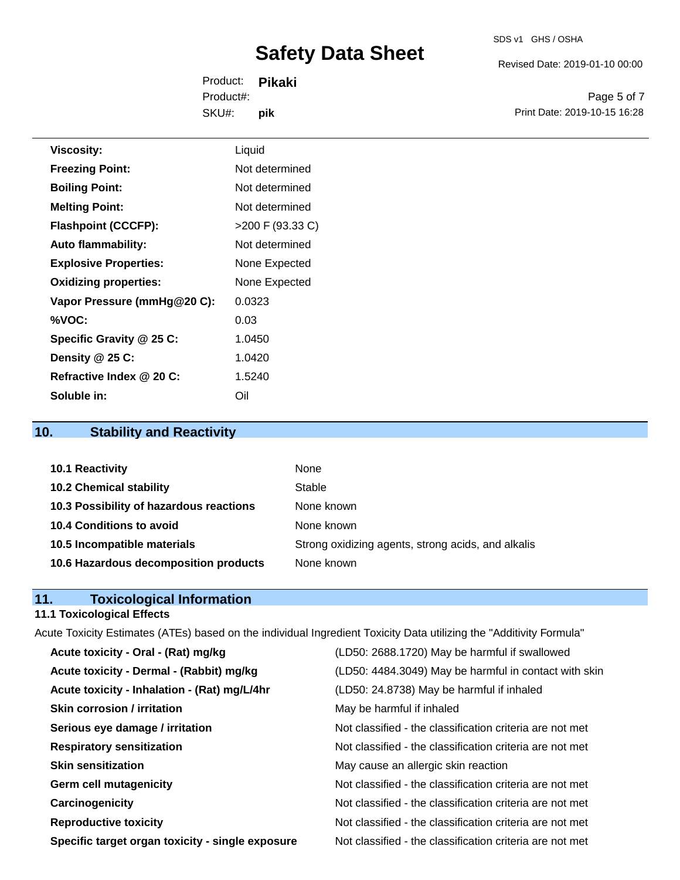# SDS v1 GHS / OSHA

# **Safety Data Sheet**

Revised Date: 2019-01-10 00:00

Product: **Pikaki** SKU#: Product#: **pik**

Page 5 of 7 Print Date: 2019-10-15 16:28

| <b>Viscosity:</b>            | Liquid             |
|------------------------------|--------------------|
| <b>Freezing Point:</b>       | Not determined     |
| <b>Boiling Point:</b>        | Not determined     |
| <b>Melting Point:</b>        | Not determined     |
| <b>Flashpoint (CCCFP):</b>   | $>200$ F (93.33 C) |
| <b>Auto flammability:</b>    | Not determined     |
| <b>Explosive Properties:</b> | None Expected      |
| <b>Oxidizing properties:</b> | None Expected      |
| Vapor Pressure (mmHg@20 C):  | 0.0323             |
| %VOC:                        | 0.03               |
| Specific Gravity @ 25 C:     | 1.0450             |
| Density @ 25 C:              | 1.0420             |
| Refractive Index @ 20 C:     | 1.5240             |
| Soluble in:                  | Oil                |

### **10. Stability and Reactivity**

| 10.1 Reactivity                         | None                                               |
|-----------------------------------------|----------------------------------------------------|
| <b>10.2 Chemical stability</b>          | Stable                                             |
| 10.3 Possibility of hazardous reactions | None known                                         |
| 10.4 Conditions to avoid                | None known                                         |
| 10.5 Incompatible materials             | Strong oxidizing agents, strong acids, and alkalis |
| 10.6 Hazardous decomposition products   | None known                                         |

### **11. Toxicological Information**

#### **11.1 Toxicological Effects**

Acute Toxicity Estimates (ATEs) based on the individual Ingredient Toxicity Data utilizing the "Additivity Formula" **Acute toxicity - Oral - (Rat) mg/kg** (LD50: 2688.1720) May be harmful if swallowed **Acute toxicity - Dermal - (Rabbit) mg/kg** (LD50: 4484.3049) May be harmful in contact with skin **Acute toxicity - Inhalation - (Rat) mg/L/4hr** (LD50: 24.8738) May be harmful if inhaled **Skin corrosion / irritation** May be harmful if inhaled **Serious eye damage / irritation** Not classified - the classification criteria are not met **Respiratory sensitization** Not classified - the classification criteria are not met **Skin sensitization** May cause an allergic skin reaction **Germ cell mutagenicity**  $\qquad \qquad \qquad$  Not classified - the classification criteria are not met **Carcinogenicity Carcinogenicity Not classified - the classification criteria are not met Reproductive toxicity** Not classified - the classification criteria are not met

**Specific target organ toxicity - single exposure** Not classified - the classification criteria are not met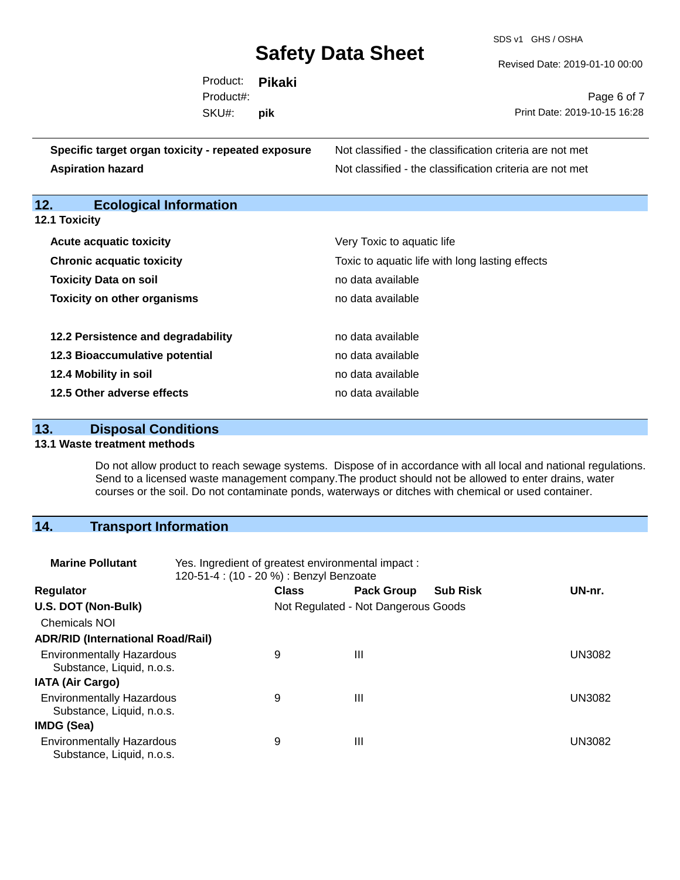SDS v1 GHS / OSHA

Revised Date: 2019-01-10 00:00

| Page 6 of 7                  |
|------------------------------|
| Print Date: 2019-10-15 16:28 |
|                              |
|                              |

| Specific target organ toxicity - repeated exposure | Not classified - the classification criteria are not met |
|----------------------------------------------------|----------------------------------------------------------|
| <b>Aspiration hazard</b>                           | Not classified - the classification criteria are not met |

# **12. Ecological Information**

| <b>12.1 Toxicity</b> |  |  |
|----------------------|--|--|
|----------------------|--|--|

| <b>Acute acquatic toxicity</b>                      | Very Toxic to aquatic life<br>Toxic to aquatic life with long lasting effects<br>no data available |  |  |  |
|-----------------------------------------------------|----------------------------------------------------------------------------------------------------|--|--|--|
| <b>Chronic acquatic toxicity</b>                    |                                                                                                    |  |  |  |
| <b>Toxicity Data on soil</b>                        |                                                                                                    |  |  |  |
| <b>Toxicity on other organisms</b>                  | no data available                                                                                  |  |  |  |
| 12.2 Persistence and degradability                  | no data available                                                                                  |  |  |  |
| 12.3 Bioaccumulative potential<br>no data available |                                                                                                    |  |  |  |
| 12.4 Mobility in soil                               | no data available                                                                                  |  |  |  |
| 12.5 Other adverse effects                          | no data available.                                                                                 |  |  |  |

## **13. Disposal Conditions**

#### **13.1 Waste treatment methods**

Do not allow product to reach sewage systems. Dispose of in accordance with all local and national regulations. Send to a licensed waste management company.The product should not be allowed to enter drains, water courses or the soil. Do not contaminate ponds, waterways or ditches with chemical or used container.

### **14. Transport Information**

| <b>Marine Pollutant</b>                                       | Yes. Ingredient of greatest environmental impact:<br>120-51-4 : (10 - 20 %) : Benzyl Benzoate |              |                                     |                 |               |
|---------------------------------------------------------------|-----------------------------------------------------------------------------------------------|--------------|-------------------------------------|-----------------|---------------|
| <b>Regulator</b>                                              |                                                                                               | <b>Class</b> | <b>Pack Group</b>                   | <b>Sub Risk</b> | UN-nr.        |
| U.S. DOT (Non-Bulk)                                           |                                                                                               |              | Not Regulated - Not Dangerous Goods |                 |               |
| <b>Chemicals NOI</b>                                          |                                                                                               |              |                                     |                 |               |
| <b>ADR/RID (International Road/Rail)</b>                      |                                                                                               |              |                                     |                 |               |
| <b>Environmentally Hazardous</b><br>Substance, Liquid, n.o.s. |                                                                                               | 9            | $\mathbf{III}$                      |                 | <b>UN3082</b> |
| <b>IATA (Air Cargo)</b>                                       |                                                                                               |              |                                     |                 |               |
| <b>Environmentally Hazardous</b><br>Substance, Liquid, n.o.s. |                                                                                               | 9            | Ш                                   |                 | UN3082        |
| IMDG (Sea)                                                    |                                                                                               |              |                                     |                 |               |
| <b>Environmentally Hazardous</b><br>Substance, Liquid, n.o.s. |                                                                                               | 9            | $\mathbf{III}$                      |                 | <b>UN3082</b> |